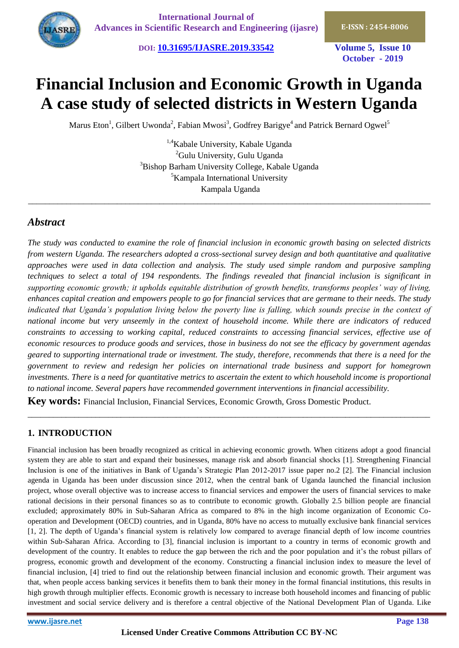**DOI: [10.31695/IJASRE.2019.33542](http://doi.org/10.31695/IJASRE.2019.33542) Volume 5, Issue 10**

**October - 2019**

# **Financial Inclusion and Economic Growth in Uganda A case study of selected districts in Western Uganda**

Marus Eton<sup>1</sup>, Gilbert Uwonda<sup>2</sup>, Fabian Mwosi<sup>3</sup>, Godfrey Barigye<sup>4</sup> and Patrick Bernard Ogwel<sup>5</sup>

<sup>1,4</sup>Kabale University, Kabale Uganda <sup>2</sup>Gulu University, Gulu Uganda <sup>3</sup>Bishop Barham University College, Kabale Uganda <sup>5</sup>Kampala International University Kampala Uganda

\_\_\_\_\_\_\_\_\_\_\_\_\_\_\_\_\_\_\_\_\_\_\_\_\_\_\_\_\_\_\_\_\_\_\_\_\_\_\_\_\_\_\_\_\_\_\_\_\_\_\_\_\_\_\_\_\_\_\_\_\_\_\_\_\_\_\_\_\_\_\_\_\_\_\_\_\_\_\_\_\_\_\_\_\_\_\_\_\_\_\_\_\_\_\_

# *Abstract*

*The study was conducted to examine the role of financial inclusion in economic growth basing on selected districts from western Uganda. The researchers adopted a cross-sectional survey design and both quantitative and qualitative approaches were used in data collection and analysis. The study used simple random and purposive sampling techniques to select a total of 194 respondents. The findings revealed that financial inclusion is significant in supporting economic growth; it upholds equitable distribution of growth benefits, transforms peoples' way of living, enhances capital creation and empowers people to go for financial services that are germane to their needs. The study*  indicated that Uganda's population living below the poverty line is falling, which sounds precise in the context of *national income but very unseemly in the context of household income. While there are indicators of reduced constraints to accessing to working capital, reduced constraints to accessing financial services, effective use of economic resources to produce goods and services, those in business do not see the efficacy by government agendas geared to supporting international trade or investment. The study, therefore, recommends that there is a need for the government to review and redesign her policies on international trade business and support for homegrown investments. There is a need for quantitative metrics to ascertain the extent to which household income is proportional to national income. Several papers have recommended government interventions in financial accessibility.*

\_\_\_\_\_\_\_\_\_\_\_\_\_\_\_\_\_\_\_\_\_\_\_\_\_\_\_\_\_\_\_\_\_\_\_\_\_\_\_\_\_\_\_\_\_\_\_\_\_\_\_\_\_\_\_\_\_\_\_\_\_\_\_\_\_\_\_\_\_\_\_\_\_\_\_\_\_\_\_\_\_\_\_\_\_\_\_\_\_\_\_\_\_\_\_

**Key words:** Financial Inclusion, Financial Services, Economic Growth, Gross Domestic Product.

# **1. INTRODUCTION**

Financial inclusion has been broadly recognized as critical in achieving economic growth. When citizens adopt a good financial system they are able to start and expand their businesses, manage risk and absorb financial shocks [1]. Strengthening Financial Inclusion is one of the initiatives in Bank of Uganda's Strategic Plan 2012-2017 issue paper no.2 [2]. The Financial inclusion agenda in Uganda has been under discussion since 2012, when the central bank of Uganda launched the financial inclusion project, whose overall objective was to increase access to financial services and empower the users of financial services to make rational decisions in their personal finances so as to contribute to economic growth. Globally 2.5 billion people are financial excluded; approximately 80% in Sub-Saharan Africa as compared to 8% in the high income organization of Economic Cooperation and Development (OECD) countries, and in Uganda, 80% have no access to mutually exclusive bank financial services [1, 2]. The depth of Uganda's financial system is relatively low compared to average financial depth of low income countries within Sub-Saharan Africa. According to [3], financial inclusion is important to a country in terms of economic growth and development of the country. It enables to reduce the gap between the rich and the poor population and it's the robust pillars of progress, economic growth and development of the economy. Constructing a financial inclusion index to measure the level of financial inclusion, [4] tried to find out the relationship between financial inclusion and economic growth. Their argument was that, when people access banking services it benefits them to bank their money in the formal financial institutions, this results in high growth through multiplier effects. Economic growth is necessary to increase both household incomes and financing of public investment and social service delivery and is therefore a central objective of the National Development Plan of Uganda. Like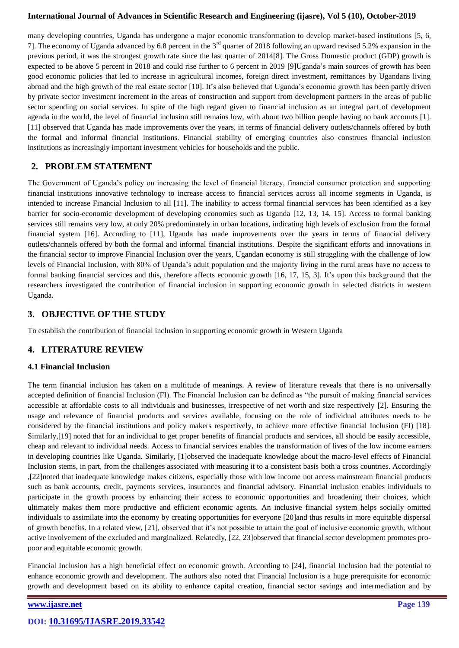many developing countries, Uganda has undergone a major economic transformation to develop market-based institutions [5, 6, 7]. The economy of Uganda advanced by 6.8 percent in the 3rd quarter of 2018 following an upward revised 5.2% expansion in the previous period, it was the strongest growth rate since the last quarter of 2014[8]. The Gross Domestic product (GDP) growth is expected to be above 5 percent in 2018 and could rise further to 6 percent in 2019 [9]Uganda's main sources of growth has been good economic policies that led to increase in agricultural incomes, foreign direct investment, remittances by Ugandans living abroad and the high growth of the real estate sector [10]. It's also believed that Uganda's economic growth has been partly driven by private sector investment increment in the areas of construction and support from development partners in the areas of public sector spending on social services. In spite of the high regard given to financial inclusion as an integral part of development agenda in the world, the level of financial inclusion still remains low, with about two billion people having no bank accounts [1]. [11] observed that Uganda has made improvements over the years, in terms of financial delivery outlets/channels offered by both the formal and informal financial institutions. Financial stability of emerging countries also construes financial inclusion institutions as increasingly important investment vehicles for households and the public.

# **2. PROBLEM STATEMENT**

The Government of Uganda's policy on increasing the level of financial literacy, financial consumer protection and supporting financial institutions innovative technology to increase access to financial services across all income segments in Uganda, is intended to increase Financial Inclusion to all [11]. The inability to access formal financial services has been identified as a key barrier for socio-economic development of developing economies such as Uganda [12, 13, 14, 15]. Access to formal banking services still remains very low, at only 20% predominately in urban locations, indicating high levels of exclusion from the formal financial system [16]. According to [11], Uganda has made improvements over the years in terms of financial delivery outlets/channels offered by both the formal and informal financial institutions. Despite the significant efforts and innovations in the financial sector to improve Financial Inclusion over the years, Ugandan economy is still struggling with the challenge of low levels of Financial Inclusion, with 80% of Uganda's adult population and the majority living in the rural areas have no access to formal banking financial services and this, therefore affects economic growth [16, 17, 15, 3]. It's upon this background that the researchers investigated the contribution of financial inclusion in supporting economic growth in selected districts in western Uganda.

## **3. OBJECTIVE OF THE STUDY**

To establish the contribution of financial inclusion in supporting economic growth in Western Uganda

# **4. LITERATURE REVIEW**

## **4.1 Financial Inclusion**

The term financial inclusion has taken on a multitude of meanings. A review of literature reveals that there is no universally accepted definition of financial Inclusion (FI). The Financial Inclusion can be defined as "the pursuit of making financial services accessible at affordable costs to all individuals and businesses, irrespective of net worth and size respectively [2]. Ensuring the usage and relevance of financial products and services available, focusing on the role of individual attributes needs to be considered by the financial institutions and policy makers respectively, to achieve more effective financial Inclusion (FI) [18]. Similarly,[19] noted that for an individual to get proper benefits of financial products and services, all should be easily accessible, cheap and relevant to individual needs. Access to financial services enables the transformation of lives of the low income earners in developing countries like Uganda. Similarly, [1]observed the inadequate knowledge about the macro-level effects of Financial Inclusion stems, in part, from the challenges associated with measuring it to a consistent basis both a cross countries. Accordingly ,[22]noted that inadequate knowledge makes citizens, especially those with low income not access mainstream financial products such as bank accounts, credit, payments services, insurances and financial advisory. Financial inclusion enables individuals to participate in the growth process by enhancing their access to economic opportunities and broadening their choices, which ultimately makes them more productive and efficient economic agents. An inclusive financial system helps socially omitted individuals to assimilate into the economy by creating opportunities for everyone [20]and thus results in more equitable dispersal of growth benefits. In a related view, [21], observed that it's not possible to attain the goal of inclusive economic growth, without active involvement of the excluded and marginalized. Relatedly, [22, 23]observed that financial sector development promotes propoor and equitable economic growth.

Financial Inclusion has a high beneficial effect on economic growth. According to [24], financial Inclusion had the potential to enhance economic growth and development. The authors also noted that Financial Inclusion is a huge prerequisite for economic growth and development based on its ability to enhance capital creation, financial sector savings and intermediation and by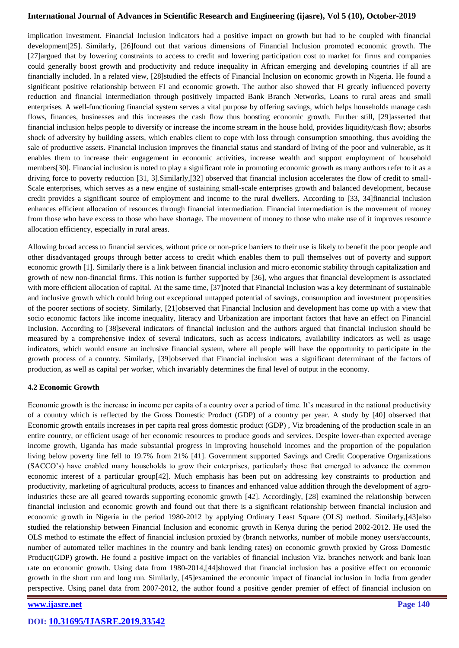implication investment. Financial Inclusion indicators had a positive impact on growth but had to be coupled with financial development[25]. Similarly, [26]found out that various dimensions of Financial Inclusion promoted economic growth. The [27]argued that by lowering constraints to access to credit and lowering participation cost to market for firms and companies could generally boost growth and productivity and reduce inequality in African emerging and developing countries if all are financially included. In a related view, [28]studied the effects of Financial Inclusion on economic growth in Nigeria. He found a significant positive relationship between FI and economic growth. The author also showed that FI greatly influenced poverty reduction and financial intermediation through positively impacted Bank Branch Networks, Loans to rural areas and small enterprises. A well-functioning financial system serves a vital purpose by offering savings, which helps households manage cash flows, finances, businesses and this increases the cash flow thus boosting economic growth. Further still, [29]asserted that financial inclusion helps people to diversify or increase the income stream in the house hold, provides liquidity/cash flow; absorbs shock of adversity by building assets, which enables client to cope with loss through consumption smoothing, thus avoiding the sale of productive assets. Financial inclusion improves the financial status and standard of living of the poor and vulnerable, as it enables them to increase their engagement in economic activities, increase wealth and support employment of household members[30]. Financial inclusion is noted to play a significant role in promoting economic growth as many authors refer to it as a driving force to poverty reduction [31, 3].Similarly,[32] observed that financial inclusion accelerates the flow of credit to small-Scale enterprises, which serves as a new engine of sustaining small-scale enterprises growth and balanced development, because credit provides a significant source of employment and income to the rural dwellers. According to [33, 34]financial inclusion enhances efficient allocation of resources through financial intermediation. Financial intermediation is the movement of money from those who have excess to those who have shortage. The movement of money to those who make use of it improves resource allocation efficiency, especially in rural areas.

Allowing broad access to financial services, without price or non-price barriers to their use is likely to benefit the poor people and other disadvantaged groups through better access to credit which enables them to pull themselves out of poverty and support economic growth [1]. Similarly there is a link between financial inclusion and micro economic stability through capitalization and growth of new non-financial firms. This notion is further supported by [36], who argues that financial development is associated with more efficient allocation of capital. At the same time, [37] noted that Financial Inclusion was a key determinant of sustainable and inclusive growth which could bring out exceptional untapped potential of savings, consumption and investment propensities of the poorer sections of society. Similarly, [21]observed that Financial Inclusion and development has come up with a view that socio economic factors like income inequality, literacy and Urbanization are important factors that have an effect on Financial Inclusion. According to [38]several indicators of financial inclusion and the authors argued that financial inclusion should be measured by a comprehensive index of several indicators, such as access indicators, availability indicators as well as usage indicators, which would ensure an inclusive financial system, where all people will have the opportunity to participate in the growth process of a country. Similarly, [39]observed that Financial inclusion was a significant determinant of the factors of production, as well as capital per worker, which invariably determines the final level of output in the economy.

### **4.2 Economic Growth**

Economic growth is the increase in income per capita of a country over a period of time. It's measured in the national productivity of a country which is reflected by the Gross Domestic Product (GDP) of a country per year. A study by [40] observed that Economic growth entails increases in per capita real gross domestic product (GDP) , Viz broadening of the production scale in an entire country, or efficient usage of her economic resources to produce goods and services. Despite lower-than expected average income growth, Uganda has made substantial progress in improving household incomes and the proportion of the population living below poverty line fell to 19.7% from 21% [41]. Government supported Savings and Credit Cooperative Organizations (SACCO's) have enabled many households to grow their enterprises, particularly those that emerged to advance the common economic interest of a particular group[42]. Much emphasis has been put on addressing key constraints to production and productivity, marketing of agricultural products, access to finances and enhanced value addition through the development of agroindustries these are all geared towards supporting economic growth [42]. Accordingly, [28] examined the relationship between financial inclusion and economic growth and found out that there is a significant relationship between financial inclusion and economic growth in Nigeria in the period 1980-2012 by applying Ordinary Least Square (OLS) method. Similarly,[43]also studied the relationship between Financial Inclusion and economic growth in Kenya during the period 2002-2012. He used the OLS method to estimate the effect of financial inclusion proxied by (branch networks, number of mobile money users/accounts, number of automated teller machines in the country and bank lending rates) on economic growth proxied by Gross Domestic Product(GDP) growth. He found a positive impact on the variables of financial inclusion Viz. branches network and bank loan rate on economic growth. Using data from 1980-2014,[44]showed that financial inclusion has a positive effect on economic growth in the short run and long run. Similarly, [45]examined the economic impact of financial inclusion in India from gender perspective. Using panel data from 2007-2012, the author found a positive gender premier of effect of financial inclusion on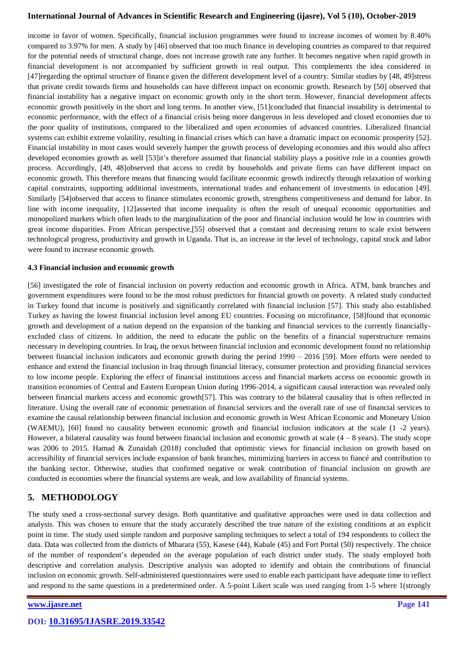income in favor of women. Specifically, financial inclusion programmes were found to increase incomes of women by 8.40% compared to 3.97% for men. A study by [46] observed that too much finance in developing countries as compared to that required for the potential needs of structural change, does not increase growth rate any further. It becomes negative when rapid growth in financial development is not accompanied by sufficient growth in real output. This complements the idea considered in [47]regarding the optimal structure of finance given the different development level of a country. Similar studies by [48, 49]stress that private credit towards firms and households can have different impact on economic growth. Research by [50] observed that financial instability has a negative impact on economic growth only in the short term. However, financial development affects economic growth positively in the short and long terms. In another view, [51]concluded that financial instability is detrimental to economic performance, with the effect of a financial crisis being more dangerous in less developed and closed economies due to the poor quality of institutions, compared to the liberalized and open economies of advanced countries. Liberalized financial systems can exhibit extreme volatility, resulting in financial crises which can have a dramatic impact on economic prosperity [52]. Financial instability in most cases would severely hamper the growth process of developing economies and this would also affect developed economies growth as well [53]it's therefore assumed that financial stability plays a positive role in a counties growth process. Accordingly, [49, 48]observed that access to credit by households and private firms can have different impact on economic growth. This therefore means that financing would facilitate economic growth indirectly through relaxation of working capital constraints, supporting additional investments, international trades and enhancement of investments in education [49]. Similarly [54]observed that access to finance stimulates economic growth, strengthens competitiveness and demand for labor. In line with income inequality, [12]asserted that income inequality is often the result of unequal economic opportunities and monopolized markets which often leads to the marginalization of the poor and financial inclusion would be low in countries with great income disparities. From African perspective,[55] observed that a constant and decreasing return to scale exist between technological progress, productivity and growth in Uganda. That is, an increase in the level of technology, capital stock and labor were found to increase economic growth.

#### **4.3 Financial inclusion and economic growth**

[56] investigated the role of financial inclusion on poverty reduction and economic growth in Africa. ATM, bank branches and government expenditures were found to be the most robust predictors for financial growth on poverty. A related study conducted in Turkey found that income is positively and significantly correlated with financial inclusion [57]. This study also established Turkey as having the lowest financial inclusion level among EU countries. Focusing on microfinance, [58]found that economic growth and development of a nation depend on the expansion of the banking and financial services to the currently financiallyexcluded class of citizens. In addition, the need to educate the public on the benefits of a financial superstructure remains necessary in developing countries. In Iraq, the nexus between financial inclusion and economic development found no relationship between financial inclusion indicators and economic growth during the period 1990 – 2016 [59]. More efforts were needed to enhance and extend the financial inclusion in Iraq through financial literacy, consumer protection and providing financial services to low income people. Exploring the effect of financial institutions access and financial markets access on economic growth in transition economies of Central and Eastern European Union during 1996-2014, a significant causal interaction was revealed only between financial markets access and economic growth[57]. This was contrary to the bilateral causality that is often reflected in literature. Using the overall rate of economic penetration of financial services and the overall rate of use of financial services to examine the causal relationship between financial inclusion and economic growth in West African Economic and Monetary Union (WAEMU), [60] found no causality between economic growth and financial inclusion indicators at the scale (1 -2 years). However, a bilateral causality was found between financial inclusion and economic growth at scale  $(4 - 8$  years). The study scope was 2006 to 2015. Hamad & Zunaidah (2018) concluded that optimistic views for financial inclusion on growth based on accessibility of financial services include expansion of bank branches, minimizing barriers in access to fiancé and contribution to the banking sector. Otherwise, studies that confirmed negative or weak contribution of financial inclusion on growth are conducted in economies where the financial systems are weak, and low availability of financial systems.

# **5. METHODOLOGY**

The study used a cross-sectional survey design. Both quantitative and qualitative approaches were used in data collection and analysis. This was chosen to ensure that the study accurately described the true nature of the existing conditions at an explicit point in time. The study used simple random and purposive sampling techniques to select a total of 194 respondents to collect the data. Data was collected from the districts of Mbarara (55), Kasese (44), Kabale (45) and Fort Portal (50) respectively. The choice of the number of respondent's depended on the average population of each district under study. The study employed both descriptive and correlation analysis. Descriptive analysis was adopted to identify and obtain the contributions of financial inclusion on economic growth. Self-administered questionnaires were used to enable each participant have adequate time to reflect and respond to the same questions in a predetermined order. A 5-point Likert scale was used ranging from 1-5 where 1(strongly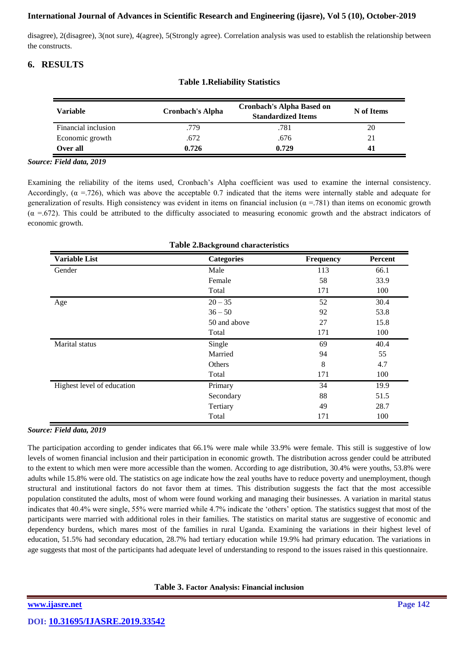disagree), 2(disagree), 3(not sure), 4(agree), 5(Strongly agree). Correlation analysis was used to establish the relationship between the constructs.

# **6. RESULTS**

| Variable            | <b>Cronbach's Alpha</b> | <b>Cronbach's Alpha Based on</b><br><b>Standardized Items</b> | N of Items |  |
|---------------------|-------------------------|---------------------------------------------------------------|------------|--|
| Financial inclusion | .779                    | .781                                                          | 20         |  |
| Economic growth     | .672                    | .676                                                          | 21         |  |
| Over all            | 0.726                   | 0.729                                                         | 41         |  |

## **Table 1.Reliability Statistics**

#### *Source: Field data, 2019*

Examining the reliability of the items used, Cronbach's Alpha coefficient was used to examine the internal consistency. Accordingly,  $(\alpha = .726)$ , which was above the acceptable 0.7 indicated that the items were internally stable and adequate for generalization of results. High consistency was evident in items on financial inclusion  $(\alpha = 781)$  than items on economic growth  $(\alpha = .672)$ . This could be attributed to the difficulty associated to measuring economic growth and the abstract indicators of economic growth.

| <b>Table 2.Dackground characteristics</b> |                   |           |                |  |  |  |  |
|-------------------------------------------|-------------------|-----------|----------------|--|--|--|--|
| <b>Variable List</b>                      | <b>Categories</b> | Frequency | <b>Percent</b> |  |  |  |  |
| Gender                                    | Male              | 113       | 66.1           |  |  |  |  |
|                                           | Female            | 58        | 33.9           |  |  |  |  |
|                                           | Total             | 171       | 100            |  |  |  |  |
| Age                                       | $20 - 35$         | 52        | 30.4           |  |  |  |  |
|                                           | $36 - 50$         | 92        | 53.8           |  |  |  |  |
|                                           | 50 and above      | 27        | 15.8           |  |  |  |  |
|                                           | Total             | 171       | 100            |  |  |  |  |
| <b>Marital</b> status                     | Single            | 69        | 40.4           |  |  |  |  |
|                                           | Married           | 94        | 55             |  |  |  |  |
|                                           | Others            | 8         | 4.7            |  |  |  |  |
|                                           | Total             | 171       | 100            |  |  |  |  |
| Highest level of education                | Primary           | 34        | 19.9           |  |  |  |  |
|                                           | Secondary         | 88        | 51.5           |  |  |  |  |
|                                           | Tertiary          | 49        | 28.7           |  |  |  |  |
|                                           | Total             | 171       | 100            |  |  |  |  |

# **Table 2.Background characteristics**

### *Source: Field data, 2019*

The participation according to gender indicates that 66.1% were male while 33.9% were female. This still is suggestive of low levels of women financial inclusion and their participation in economic growth. The distribution across gender could be attributed to the extent to which men were more accessible than the women. According to age distribution, 30.4% were youths, 53.8% were adults while 15.8% were old. The statistics on age indicate how the zeal youths have to reduce poverty and unemployment, though structural and institutional factors do not favor them at times. This distribution suggests the fact that the most accessible population constituted the adults, most of whom were found working and managing their businesses. A variation in marital status indicates that 40.4% were single, 55% were married while 4.7% indicate the 'others' option. The statistics suggest that most of the participants were married with additional roles in their families. The statistics on marital status are suggestive of economic and dependency burdens, which mares most of the families in rural Uganda. Examining the variations in their highest level of education, 51.5% had secondary education, 28.7% had tertiary education while 19.9% had primary education. The variations in age suggests that most of the participants had adequate level of understanding to respond to the issues raised in this questionnaire.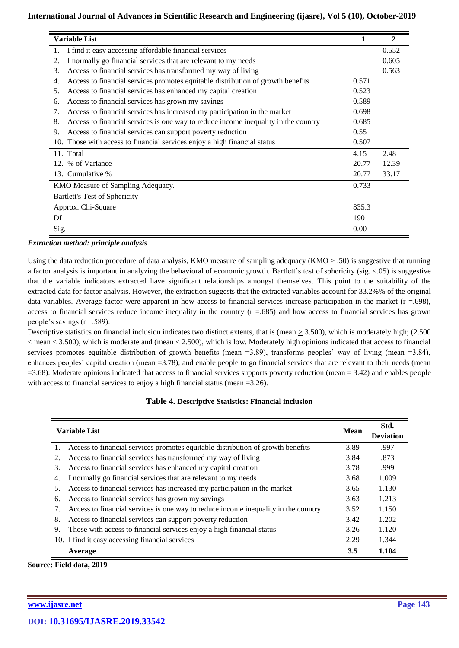| <b>Variable List</b>                                                                     |       | $\mathbf{2}$ |
|------------------------------------------------------------------------------------------|-------|--------------|
| I find it easy accessing affordable financial services                                   |       | 0.552        |
| I normally go financial services that are relevant to my needs<br>2.                     |       | 0.605        |
| 3.<br>Access to financial services has transformed my way of living                      |       | 0.563        |
| Access to financial services promotes equitable distribution of growth benefits<br>4.    | 0.571 |              |
| Access to financial services has enhanced my capital creation<br>.5.                     | 0.523 |              |
| Access to financial services has grown my savings<br>6.                                  | 0.589 |              |
| Access to financial services has increased my participation in the market<br>7.          | 0.698 |              |
| 8.<br>Access to financial services is one way to reduce income inequality in the country | 0.685 |              |
| Access to financial services can support poverty reduction<br>9.                         | 0.55  |              |
| 10. Those with access to financial services enjoy a high financial status                | 0.507 |              |
| 11. Total                                                                                | 4.15  | 2.48         |
| 12. % of Variance                                                                        | 20.77 | 12.39        |
| 13. Cumulative %                                                                         | 20.77 | 33.17        |
| KMO Measure of Sampling Adequacy.                                                        | 0.733 |              |
| <b>Bartlett's Test of Sphericity</b>                                                     |       |              |
| Approx. Chi-Square                                                                       | 835.3 |              |
| Df                                                                                       | 190   |              |
| Sig.                                                                                     | 0.00  |              |

#### *Extraction method: principle analysis*

Using the data reduction procedure of data analysis, KMO measure of sampling adequacy (KMO > .50) is suggestive that running a factor analysis is important in analyzing the behavioral of economic growth. Bartlett's test of sphericity (sig. <.05) is suggestive that the variable indicators extracted have significant relationships amongst themselves. This point to the suitability of the extracted data for factor analysis. However, the extraction suggests that the extracted variables account for 33.2%% of the original data variables. Average factor were apparent in how access to financial services increase participation in the market  $(r = .698)$ , access to financial services reduce income inequality in the country  $(r = .685)$  and how access to financial services has grown people's savings  $(r = .589)$ .

Descriptive statistics on financial inclusion indicates two distinct extents, that is (mean  $\geq$  3.500), which is moderately high; (2.500)  $<$  mean  $<$  3.500), which is moderate and (mean  $<$  2.500), which is low. Moderately high opinions indicated that access to financial services promotes equitable distribution of growth benefits (mean =3.89), transforms peoples' way of living (mean =3.84), enhances peoples' capital creation (mean =3.78), and enable people to go financial services that are relevant to their needs (mean  $=3.68$ ). Moderate opinions indicated that access to financial services supports poverty reduction (mean  $= 3.42$ ) and enables people with access to financial services to enjoy a high financial status (mean =3.26).

### **Table 4. Descriptive Statistics: Financial inclusion**

| <b>Variable List</b> |                                                                                    |      | Std.<br><b>Deviation</b> |
|----------------------|------------------------------------------------------------------------------------|------|--------------------------|
| 1.                   | Access to financial services promotes equitable distribution of growth benefits    | 3.89 | .997                     |
| 2.                   | Access to financial services has transformed my way of living                      | 3.84 | .873                     |
| 3.                   | Access to financial services has enhanced my capital creation                      | 3.78 | .999                     |
| 4.                   | I normally go financial services that are relevant to my needs                     | 3.68 | 1.009                    |
| 5.                   | Access to financial services has increased my participation in the market          | 3.65 | 1.130                    |
| 6.                   | Access to financial services has grown my savings                                  | 3.63 | 1.213                    |
| 7.                   | Access to financial services is one way to reduce income inequality in the country | 3.52 | 1.150                    |
| 8.                   | Access to financial services can support poverty reduction                         | 3.42 | 1.202                    |
| 9.                   | Those with access to financial services enjoy a high financial status              | 3.26 | 1.120                    |
|                      | 10. I find it easy accessing financial services                                    | 2.29 | 1.344                    |
|                      | Average                                                                            | 3.5  | 1.104                    |

**Source: Field data, 2019**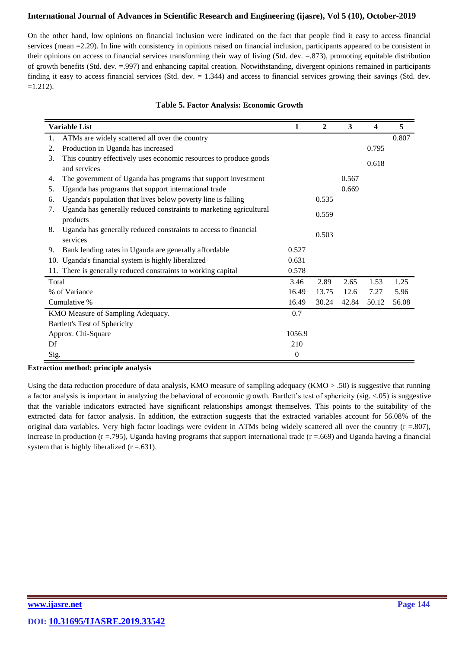On the other hand, low opinions on financial inclusion were indicated on the fact that people find it easy to access financial services (mean =2.29). In line with consistency in opinions raised on financial inclusion, participants appeared to be consistent in their opinions on access to financial services transforming their way of living (Std. dev. =.873), promoting equitable distribution of growth benefits (Std. dev. =.997) and enhancing capital creation. Notwithstanding, divergent opinions remained in participants finding it easy to access financial services (Std. dev. = 1.344) and access to financial services growing their savings (Std. dev.  $=1.212$ ).

|       | <b>Variable List</b>                                                              | 1            | $\mathbf{2}$ | 3     | 4     | 5     |
|-------|-----------------------------------------------------------------------------------|--------------|--------------|-------|-------|-------|
| 1.    | ATMs are widely scattered all over the country                                    |              |              |       |       | 0.807 |
| 2.    | Production in Uganda has increased                                                |              |              |       | 0.795 |       |
| 3.    | This country effectively uses economic resources to produce goods<br>and services |              |              |       | 0.618 |       |
| 4.    | The government of Uganda has programs that support investment                     |              |              | 0.567 |       |       |
| 5.    | Uganda has programs that support international trade                              |              |              | 0.669 |       |       |
| 6.    | Uganda's population that lives below poverty line is falling                      |              | 0.535        |       |       |       |
| 7.    | Uganda has generally reduced constraints to marketing agricultural<br>products    |              | 0.559        |       |       |       |
| 8.    | Uganda has generally reduced constraints to access to financial<br>services       |              | 0.503        |       |       |       |
| 9.    | Bank lending rates in Uganda are generally affordable                             | 0.527        |              |       |       |       |
| 10.   | Uganda's financial system is highly liberalized                                   | 0.631        |              |       |       |       |
|       | 11. There is generally reduced constraints to working capital                     | 0.578        |              |       |       |       |
| Total |                                                                                   | 3.46         | 2.89         | 2.65  | 1.53  | 1.25  |
|       | % of Variance                                                                     | 16.49        | 13.75        | 12.6  | 7.27  | 5.96  |
|       | Cumulative %                                                                      | 16.49        | 30.24        | 42.84 | 50.12 | 56.08 |
|       | KMO Measure of Sampling Adequacy.                                                 | 0.7          |              |       |       |       |
|       | <b>Bartlett's Test of Sphericity</b>                                              |              |              |       |       |       |
|       | Approx. Chi-Square                                                                | 1056.9       |              |       |       |       |
| Df    |                                                                                   | 210          |              |       |       |       |
| Sig.  |                                                                                   | $\mathbf{0}$ |              |       |       |       |

### **Table 5. Factor Analysis: Economic Growth**

#### **Extraction method: principle analysis**

Using the data reduction procedure of data analysis, KMO measure of sampling adequacy (KMO > .50) is suggestive that running a factor analysis is important in analyzing the behavioral of economic growth. Bartlett's test of sphericity (sig. <.05) is suggestive that the variable indicators extracted have significant relationships amongst themselves. This points to the suitability of the extracted data for factor analysis. In addition, the extraction suggests that the extracted variables account for 56.08% of the original data variables. Very high factor loadings were evident in ATMs being widely scattered all over the country  $(r = .807)$ , increase in production ( $r = .795$ ), Uganda having programs that support international trade ( $r = .669$ ) and Uganda having a financial system that is highly liberalized  $(r = .631)$ .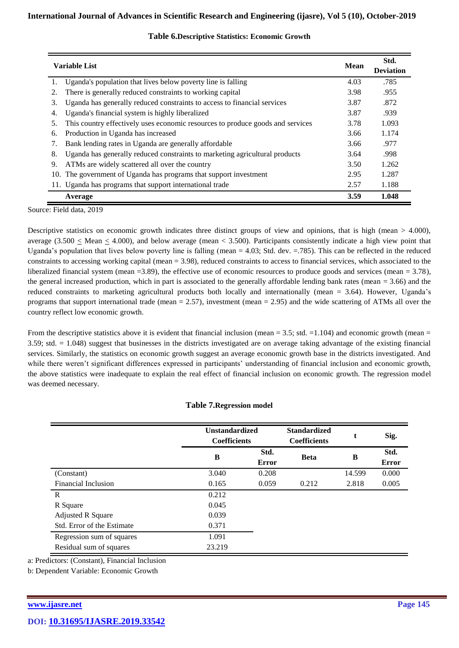| <b>Variable List</b> |                                                                                | <b>Mean</b> | Std.<br><b>Deviation</b> |
|----------------------|--------------------------------------------------------------------------------|-------------|--------------------------|
| 1.                   | Uganda's population that lives below poverty line is falling                   | 4.03        | .785                     |
| 2.                   | There is generally reduced constraints to working capital                      | 3.98        | .955                     |
| 3.                   | Uganda has generally reduced constraints to access to financial services       | 3.87        | .872                     |
| 4.                   | Uganda's financial system is highly liberalized                                | 3.87        | .939                     |
| 5.                   | This country effectively uses economic resources to produce goods and services | 3.78        | 1.093                    |
| 6.                   | Production in Uganda has increased                                             | 3.66        | 1.174                    |
| 7.                   | Bank lending rates in Uganda are generally affordable                          | 3.66        | .977                     |
| 8.                   | Uganda has generally reduced constraints to marketing agricultural products    | 3.64        | .998                     |
| 9.                   | ATMs are widely scattered all over the country                                 | 3.50        | 1.262                    |
|                      | 10. The government of Uganda has programs that support investment              | 2.95        | 1.287                    |
|                      | 11. Uganda has programs that support international trade                       | 2.57        | 1.188                    |
|                      | Average                                                                        | 3.59        | 1.048                    |

## **Table 6.Descriptive Statistics: Economic Growth**

Source: Field data, 2019

Descriptive statistics on economic growth indicates three distinct groups of view and opinions, that is high (mean > 4.000), average (3.500  $\leq$  Mean  $\leq$  4.000), and below average (mean  $\lt$  3.500). Participants consistently indicate a high view point that Uganda's population that lives below poverty line is falling (mean = 4.03; Std. dev. =.785). This can be reflected in the reduced constraints to accessing working capital (mean = 3.98), reduced constraints to access to financial services, which associated to the liberalized financial system (mean =3.89), the effective use of economic resources to produce goods and services (mean = 3.78), the general increased production, which in part is associated to the generally affordable lending bank rates (mean = 3.66) and the reduced constraints to marketing agricultural products both locally and internationally (mean = 3.64). However, Uganda's programs that support international trade (mean  $= 2.57$ ), investment (mean  $= 2.95$ ) and the wide scattering of ATMs all over the country reflect low economic growth.

From the descriptive statistics above it is evident that financial inclusion (mean  $=$  3.5; std.  $=$  1.104) and economic growth (mean  $=$ 3.59; std. = 1.048) suggest that businesses in the districts investigated are on average taking advantage of the existing financial services. Similarly, the statistics on economic growth suggest an average economic growth base in the districts investigated. And while there weren't significant differences expressed in participants' understanding of financial inclusion and economic growth, the above statistics were inadequate to explain the real effect of financial inclusion on economic growth. The regression model was deemed necessary.

### **Table 7.Regression model**

|                            | <b>Unstandardized</b><br><b>Coefficients</b> |               | <b>Standardized</b><br><b>Coefficients</b> | t      | Sig.                 |
|----------------------------|----------------------------------------------|---------------|--------------------------------------------|--------|----------------------|
|                            | B                                            | Std.<br>Error | <b>Beta</b>                                | B      | Std.<br><b>Error</b> |
| (Constant)                 | 3.040                                        | 0.208         |                                            | 14.599 | 0.000                |
| Financial Inclusion        | 0.165                                        | 0.059         | 0.212                                      | 2.818  | 0.005                |
| R                          | 0.212                                        |               |                                            |        |                      |
| R Square                   | 0.045                                        |               |                                            |        |                      |
| <b>Adjusted R Square</b>   | 0.039                                        |               |                                            |        |                      |
| Std. Error of the Estimate | 0.371                                        |               |                                            |        |                      |
| Regression sum of squares  | 1.091                                        |               |                                            |        |                      |
| Residual sum of squares    | 23.219                                       |               |                                            |        |                      |

a: Predictors: (Constant), Financial Inclusion

b: Dependent Variable: Economic Growth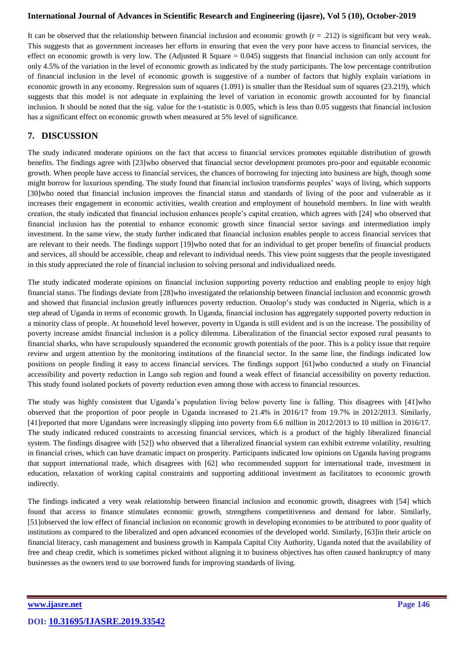It can be observed that the relationship between financial inclusion and economic growth  $(r = .212)$  is significant but very weak. This suggests that as government increases her efforts in ensuring that even the very poor have access to financial services, the effect on economic growth is very low. The (Adjusted R Square  $= 0.045$ ) suggests that financial inclusion can only account for only 4.5% of the variation in the level of economic growth as indicated by the study participants. The low percentage contribution of financial inclusion in the level of economic growth is suggestive of a number of factors that highly explain variations in economic growth in any economy. Regression sum of squares (1.091) is smaller than the Residual sum of squares (23.219), which suggests that this model is not adequate in explaining the level of variation in economic growth accounted for by financial inclusion. It should be noted that the sig. value for the t-statistic is 0.005, which is less than 0.05 suggests that financial inclusion has a significant effect on economic growth when measured at 5% level of significance.

# **7. DISCUSSION**

The study indicated moderate opinions on the fact that access to financial services promotes equitable distribution of growth benefits. The findings agree with [23] who observed that financial sector development promotes pro-poor and equitable economic growth. When people have access to financial services, the chances of borrowing for injecting into business are high, though some might borrow for luxurious spending. The study found that financial inclusion transforms peoples' ways of living, which supports [30]who noted that financial inclusion improves the financial status and standards of living of the poor and vulnerable as it increases their engagement in economic activities, wealth creation and employment of household members. In line with wealth creation, the study indicated that financial inclusion enhances people's capital creation, which agrees with [24] who observed that financial inclusion has the potential to enhance economic growth since financial sector savings and intermediation imply investment. In the same view, the study further indicated that financial inclusion enables people to access financial services that are relevant to their needs. The findings support [19]who noted that for an individual to get proper benefits of financial products and services, all should be accessible, cheap and relevant to individual needs. This view point suggests that the people investigated in this study appreciated the role of financial inclusion to solving personal and individualized needs.

The study indicated moderate opinions on financial inclusion supporting poverty reduction and enabling people to enjoy high financial status. The findings deviate from [28]who investigated the relationship between financial inclusion and economic growth and showed that financial inclusion greatly influences poverty reduction. Onaolop's study was conducted in Nigeria, which is a step ahead of Uganda in terms of economic growth. In Uganda, financial inclusion has aggregately supported poverty reduction in a minority class of people. At household level however, poverty in Uganda is still evident and is on the increase. The possibility of poverty increase amidst financial inclusion is a policy dilemma. Liberalization of the financial sector exposed rural peasants to financial sharks, who have scrupulously squandered the economic growth potentials of the poor. This is a policy issue that require review and urgent attention by the monitoring institutions of the financial sector. In the same line, the findings indicated low positions on people finding it easy to access financial services. The findings support [61]who conducted a study on Financial accessibility and poverty reduction in Lango sub region and found a weak effect of financial accessibility on poverty reduction. This study found isolated pockets of poverty reduction even among those with access to financial resources.

The study was highly consistent that Uganda's population living below poverty line is falling. This disagrees with [41]who observed that the proportion of poor people in Uganda increased to 21.4% in 2016/17 from 19.7% in 2012/2013. Similarly, [41]reported that more Ugandans were increasingly slipping into poverty from 6.6 million in 2012/2013 to 10 million in 2016/17. The study indicated reduced constraints to accessing financial services, which is a product of the highly liberalized financial system. The findings disagree with [52]) who observed that a liberalized financial system can exhibit extreme volatility, resulting in financial crises, which can have dramatic impact on prosperity. Participants indicated low opinions on Uganda having programs that support international trade, which disagrees with [62] who recommended support for international trade, investment in education, relaxation of working capital constraints and supporting additional investment as facilitators to economic growth indirectly.

The findings indicated a very weak relationship between financial inclusion and economic growth, disagrees with [54] which found that access to finance stimulates economic growth, strengthens competitiveness and demand for labor. Similarly, [51]observed the low effect of financial inclusion on economic growth in developing economies to be attributed to poor quality of institutions as compared to the liberalized and open advanced economies of the developed world. Similarly, [63]in their article on financial literacy, cash management and business growth in Kampala Capital City Authority, Uganda noted that the availability of free and cheap credit, which is sometimes picked without aligning it to business objectives has often caused bankruptcy of many businesses as the owners tend to use borrowed funds for improving standards of living.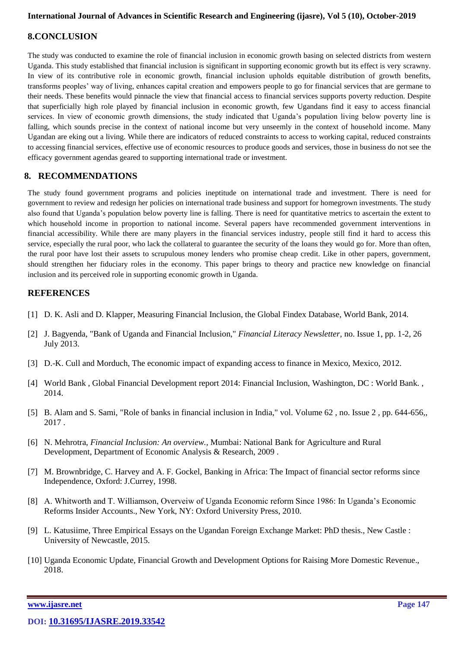## **8.CONCLUSION**

The study was conducted to examine the role of financial inclusion in economic growth basing on selected districts from western Uganda. This study established that financial inclusion is significant in supporting economic growth but its effect is very scrawny. In view of its contributive role in economic growth, financial inclusion upholds equitable distribution of growth benefits, transforms peoples' way of living, enhances capital creation and empowers people to go for financial services that are germane to their needs. These benefits would pinnacle the view that financial access to financial services supports poverty reduction. Despite that superficially high role played by financial inclusion in economic growth, few Ugandans find it easy to access financial services. In view of economic growth dimensions, the study indicated that Uganda's population living below poverty line is falling, which sounds precise in the context of national income but very unseemly in the context of household income. Many Ugandan are eking out a living. While there are indicators of reduced constraints to access to working capital, reduced constraints to accessing financial services, effective use of economic resources to produce goods and services, those in business do not see the efficacy government agendas geared to supporting international trade or investment.

## **8. RECOMMENDATIONS**

The study found government programs and policies ineptitude on international trade and investment. There is need for government to review and redesign her policies on international trade business and support for homegrown investments. The study also found that Uganda's population below poverty line is falling. There is need for quantitative metrics to ascertain the extent to which household income in proportion to national income. Several papers have recommended government interventions in financial accessibility. While there are many players in the financial services industry, people still find it hard to access this service, especially the rural poor, who lack the collateral to guarantee the security of the loans they would go for. More than often, the rural poor have lost their assets to scrupulous money lenders who promise cheap credit. Like in other papers, government, should strengthen her fiduciary roles in the economy. This paper brings to theory and practice new knowledge on financial inclusion and its perceived role in supporting economic growth in Uganda.

## **REFERENCES**

- [1] D. K. Asli and D. Klapper, Measuring Financial Inclusion, the Global Findex Database, World Bank, 2014.
- [2] J. Bagyenda, "Bank of Uganda and Financial Inclusion," *Financial Literacy Newsletter,* no. Issue 1, pp. 1-2, 26 July 2013.
- [3] D.-K. Cull and Morduch, The economic impact of expanding access to finance in Mexico, Mexico, 2012.
- [4] World Bank , Global Financial Development report 2014: Financial Inclusion, Washington, DC : World Bank. , 2014.
- [5] B. Alam and S. Sami, "Role of banks in financial inclusion in India," vol. Volume 62 , no. Issue 2 , pp. 644-656,, 2017 .
- [6] N. Mehrotra, *Financial Inclusion: An overview.,* Mumbai: National Bank for Agriculture and Rural Development, Department of Economic Analysis & Research, 2009 .
- [7] M. Brownbridge, C. Harvey and A. F. Gockel, Banking in Africa: The Impact of financial sector reforms since Independence, Oxford: J.Currey, 1998.
- [8] A. Whitworth and T. Williamson, Overveiw of Uganda Economic reform Since 1986: In Uganda's Economic Reforms Insider Accounts., New York, NY: Oxford University Press, 2010.
- [9] L. Katusiime, Three Empirical Essays on the Ugandan Foreign Exchange Market: PhD thesis., New Castle : University of Newcastle, 2015.
- [10] Uganda Economic Update, Financial Growth and Development Options for Raising More Domestic Revenue., 2018.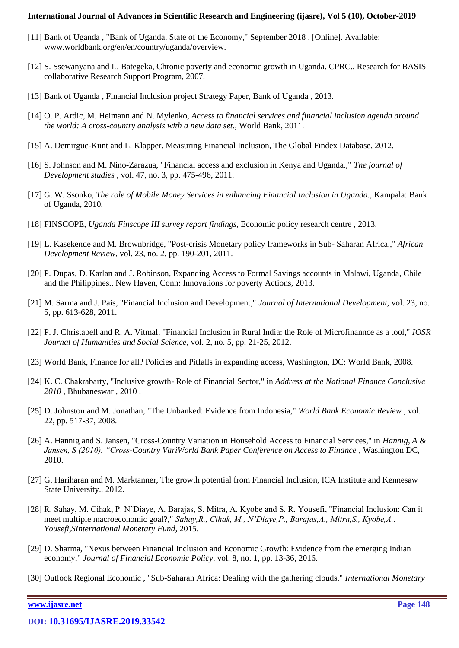- [11] Bank of Uganda , "Bank of Uganda, State of the Economy," September 2018 . [Online]. Available: www.worldbank.org/en/en/country/uganda/overview.
- [12] S. Ssewanyana and L. Bategeka, Chronic poverty and economic growth in Uganda. CPRC., Research for BASIS collaborative Research Support Program, 2007.
- [13] Bank of Uganda , Financial Inclusion project Strategy Paper, Bank of Uganda , 2013.
- [14] O. P. Ardic, M. Heimann and N. Mylenko, *Access to financial services and financial inclusion agenda around the world: A cross-country analysis with a new data set.,* World Bank, 2011.
- [15] A. Demirguc-Kunt and L. Klapper, Measuring Financial Inclusion, The Global Findex Database, 2012.
- [16] S. Johnson and M. Nino-Zarazua, "Financial access and exclusion in Kenya and Uganda.," *The journal of Development studies ,* vol. 47, no. 3, pp. 475-496, 2011.
- [17] G. W. Ssonko, *The role of Mobile Money Services in enhancing Financial Inclusion in Uganda.,* Kampala: Bank of Uganda, 2010.
- [18] FINSCOPE, *Uganda Finscope III survey report findings,* Economic policy research centre , 2013.
- [19] L. Kasekende and M. Brownbridge, "Post-crisis Monetary policy frameworks in Sub- Saharan Africa.," *African Development Review,* vol. 23, no. 2, pp. 190-201, 2011.
- [20] P. Dupas, D. Karlan and J. Robinson, Expanding Access to Formal Savings accounts in Malawi, Uganda, Chile and the Philippines., New Haven, Conn: Innovations for poverty Actions, 2013.
- [21] M. Sarma and J. Pais, "Financial Inclusion and Development," *Journal of International Development,* vol. 23, no. 5, pp. 613-628, 2011.
- [22] P. J. Christabell and R. A. Vitmal, "Financial Inclusion in Rural India: the Role of Microfinannce as a tool," *IOSR Journal of Humanities and Social Science,* vol. 2, no. 5, pp. 21-25, 2012.
- [23] World Bank, Finance for all? Policies and Pitfalls in expanding access, Washington, DC: World Bank, 2008.
- [24] K. C. Chakrabarty, "Inclusive growth- Role of Financial Sector," in *Address at the National Finance Conclusive 2010* , Bhubaneswar , 2010 .
- [25] D. Johnston and M. Jonathan, "The Unbanked: Evidence from Indonesia," *World Bank Economic Review ,* vol. 22, pp. 517-37, 2008.
- [26] A. Hannig and S. Jansen, "Cross-Country Variation in Household Access to Financial Services," in *Hannig, A & Jansen, S (2010). "Cross-Country VariWorld Bank Paper Conference on Access to Finance*, Washington DC, 2010.
- [27] G. Hariharan and M. Marktanner, The growth potential from Financial Inclusion, ICA Institute and Kennesaw State University., 2012.
- [28] R. Sahay, M. Cihak, P. N'Diaye, A. Barajas, S. Mitra, A. Kyobe and S. R. Yousefi, "Financial Inclusion: Can it meet multiple macroeconomic goal?," *Sahay,R., Cihak, M., N'Diaye,P., Barajas,A., Mitra,S., Kyobe,A.. Yousefi,SInternational Monetary Fund,* 2015.
- [29] D. Sharma, "Nexus between Financial Inclusion and Economic Growth: Evidence from the emerging Indian economy," *Journal of Financial Economic Policy,* vol. 8, no. 1, pp. 13-36, 2016.
- [30] Outlook Regional Economic , "Sub-Saharan Africa: Dealing with the gathering clouds," *International Monetary*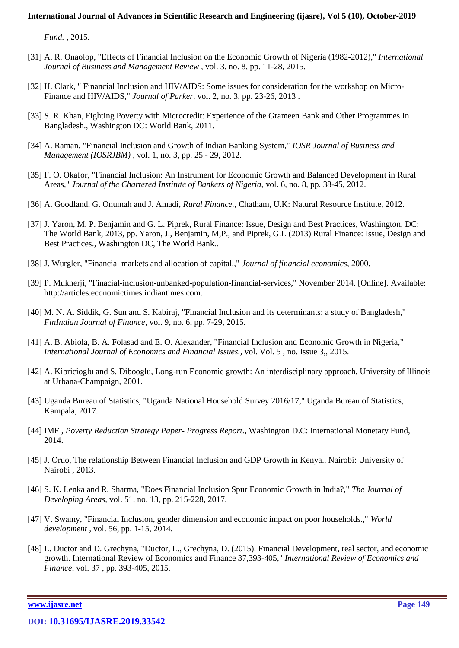*Fund. ,* 2015.

- [31] A. R. Onaolop, "Effects of Financial Inclusion on the Economic Growth of Nigeria (1982-2012)," *International Journal of Business and Management Review ,* vol. 3, no. 8, pp. 11-28, 2015.
- [32] H. Clark, " Financial Inclusion and HIV/AIDS: Some issues for consideration for the workshop on Micro-Finance and HIV/AIDS," *Journal of Parker,* vol. 2, no. 3, pp. 23-26, 2013 .
- [33] S. R. Khan, Fighting Poverty with Microcredit: Experience of the Grameen Bank and Other Programmes In Bangladesh., Washington DC: World Bank, 2011.
- [34] A. Raman, "Financial Inclusion and Growth of Indian Banking System," *IOSR Journal of Business and Management (IOSRJBM) ,* vol. 1, no. 3, pp. 25 - 29, 2012.
- [35] F. O. Okafor, "Financial Inclusion: An Instrument for Economic Growth and Balanced Development in Rural Areas," *Journal of the Chartered Institute of Bankers of Nigeria,* vol. 6, no. 8, pp. 38-45, 2012.
- [36] A. Goodland, G. Onumah and J. Amadi, *Rural Finance.,* Chatham, U.K: Natural Resource Institute, 2012.
- [37] J. Yaron, M. P. Benjamin and G. L. Piprek, Rural Finance: Issue, Design and Best Practices, Washington, DC: The World Bank, 2013, pp. Yaron, J., Benjamin, M,P., and Piprek, G.L (2013) Rural Finance: Issue, Design and Best Practices., Washington DC, The World Bank..
- [38] J. Wurgler, "Financial markets and allocation of capital.," *Journal of financial economics,* 2000.
- [39] P. Mukherji, "Finacial-inclusion-unbanked-population-financial-services," November 2014. [Online]. Available: http://articles.economictimes.indiantimes.com.
- [40] M. N. A. Siddik, G. Sun and S. Kabiraj, "Financial Inclusion and its determinants: a study of Bangladesh," *FinIndian Journal of Finance,* vol. 9, no. 6, pp. 7-29, 2015.
- [41] A. B. Abiola, B. A. Folasad and E. O. Alexander, "Financial Inclusion and Economic Growth in Nigeria," *International Journal of Economics and Financial Issues.,* vol. Vol. 5 , no. Issue 3,, 2015.
- [42] A. Kibricioglu and S. Dibooglu, Long-run Economic growth: An interdisciplinary approach, University of Illinois at Urbana-Champaign, 2001.
- [43] Uganda Bureau of Statistics, "Uganda National Household Survey 2016/17," Uganda Bureau of Statistics, Kampala, 2017.
- [44] IMF , *Poverty Reduction Strategy Paper- Progress Report.,* Washington D.C: International Monetary Fund, 2014.
- [45] J. Oruo, The relationship Between Financial Inclusion and GDP Growth in Kenya., Nairobi: University of Nairobi , 2013.
- [46] S. K. Lenka and R. Sharma, "Does Financial Inclusion Spur Economic Growth in India?," *The Journal of Developing Areas,* vol. 51, no. 13, pp. 215-228, 2017.
- [47] V. Swamy, "Financial Inclusion, gender dimension and economic impact on poor households.," *World development ,* vol. 56, pp. 1-15, 2014.
- [48] L. Ductor and D. Grechyna, "Ductor, L., Grechyna, D. (2015). Financial Development, real sector, and economic growth. International Review of Economics and Finance 37,393-405," *International Review of Economics and Finance,* vol. 37 , pp. 393-405, 2015.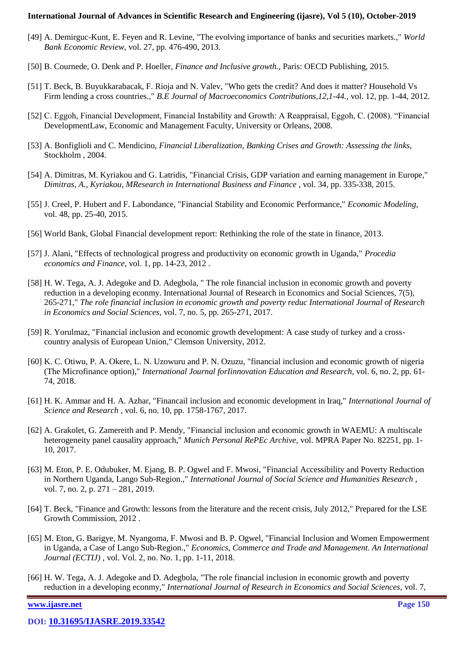- [49] A. Demirguc-Kunt, E. Feyen and R. Levine, "The evolving importance of banks and securities markets.," *World Bank Economic Review,* vol. 27, pp. 476-490, 2013.
- [50] B. Cournede, O. Denk and P. Hoeller, *Finance and Inclusive growth.,* Paris: OECD Publishing, 2015.
- [51] T. Beck, B. Buyukkarabacak, F. Rioja and N. Valev, "Who gets the credit? And does it matter? Household Vs Firm lending a cross countries.," *B.E Journal of Macroeconomics Contributions,12,1-44.,* vol. 12, pp. 1-44, 2012.
- [52] C. Eggoh, Financial Development, Financial Instability and Growth: A Reappraisal, Eggoh, C. (2008). "Financial DevelopmentLaw, Economic and Management Faculty, University or Orleans, 2008.
- [53] A. Bonfiglioli and C. Mendicino, *Financial Liberalization, Banking Crises and Growth: Assessing the links,*  Stockholm , 2004.
- [54] A. Dimitras, M. Kyriakou and G. Latridis, "Financial Crisis, GDP variation and earning management in Europe," *Dimitras, A., Kyriakou, MResearch in International Business and Finance ,* vol. 34, pp. 335-338, 2015.
- [55] J. Creel, P. Hubert and F. Labondance, "Financial Stability and Economic Performance," *Economic Modeling,*  vol. 48, pp. 25-40, 2015.
- [56] World Bank, Global Financial development report: Rethinking the role of the state in finance, 2013.
- [57] J. Alani, "Effects of technological progress and productivity on economic growth in Uganda," *Procedia economics and Finance,* vol. 1, pp. 14-23, 2012 .
- [58] H. W. Tega, A. J. Adegoke and D. Adegbola, " The role financial inclusion in economic growth and poverty reduction in a developing econmy. International Journal of Research in Economics and Social Sciences, 7(5), 265-271," *The role financial inclusion in economic growth and poverty reduc International Journal of Research in Economics and Social Sciences,* vol. 7, no. 5, pp. 265-271, 2017.
- [59] R. Yorulmaz, "Financial inclusion and economic growth development: A case study of turkey and a crosscountry analysis of European Union," Clemson University, 2012.
- [60] K. C. Otiwu, P. A. Okere, L. N. Uzowuru and P. N. Ozuzu, "financial inclusion and economic growth of nigeria (The Microfinance option)," *International Journal forIinnovation Education and Research,* vol. 6, no. 2, pp. 61- 74, 2018.
- [61] H. K. Ammar and H. A. Azhar, "Financail inclusion and economic development in Iraq," *International Journal of Science and Research ,* vol. 6, no. 10, pp. 1758-1767, 2017.
- [62] A. Grakolet, G. Zamereith and P. Mendy, "Financial inclusion and economic growth in WAEMU: A multiscale heterogeneity panel causality approach," *Munich Personal RePEc Archive,* vol. MPRA Paper No. 82251, pp. 1- 10, 2017.
- [63] M. Eton, P. E. Odubuker, M. Ejang, B. P. Ogwel and F. Mwosi, "Financial Accessibility and Poverty Reduction in Northern Uganda, Lango Sub-Region.," *International Journal of Social Science and Humanities Research ,*  vol. 7, no. 2, p. 271 – 281, 2019.
- [64] T. Beck, "Finance and Growth: lessons from the literature and the recent crisis, July 2012," Prepared for the LSE Growth Commission, 2012 .
- [65] M. Eton, G. Barigye, M. Nyangoma, F. Mwosi and B. P. Ogwel, "Financial Inclusion and Women Empowerment in Uganda, a Case of Lango Sub-Region.," *Economics, Commerce and Trade and Management. An International Journal (ECTIJ) ,* vol. Vol. 2, no. No. 1, pp. 1-11, 2018.
- [66] H. W. Tega, A. J. Adegoke and D. Adegbola, "The role financial inclusion in economic growth and poverty reduction in a developing econmy," *International Journal of Research in Economics and Social Sciences,* vol. 7,